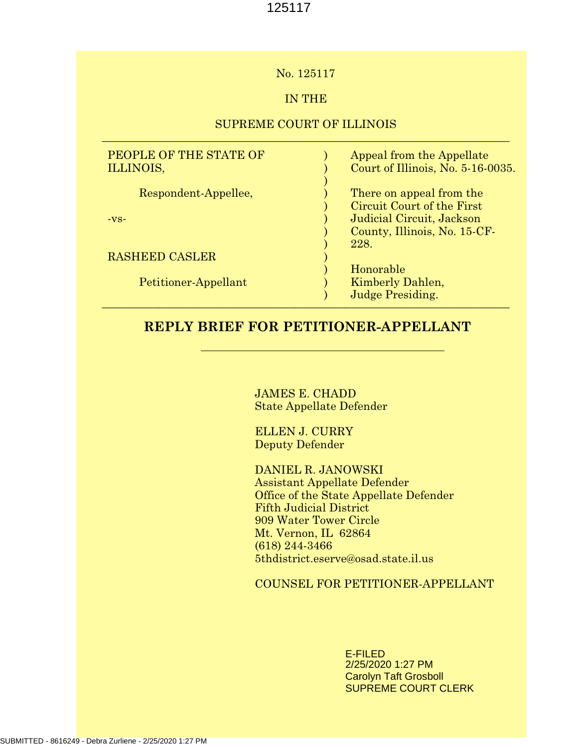### No. 125117

#### IN THE

#### SUPREME COURT OF ILLINOIS  $\_$  , and the set of the set of the set of the set of the set of the set of the set of the set of the set of the set of the set of the set of the set of the set of the set of the set of the set of the set of the set of th

| PEOPLE OF THE STATE OF<br>ILLINOIS, | Appeal from the Appellate<br>Court of Illinois, No. 5-16-0035. |
|-------------------------------------|----------------------------------------------------------------|
| Respondent-Appellee,                | There on appeal from the<br>Circuit Court of the First         |
| $-VS-$                              | Judicial Circuit, Jackson                                      |
|                                     | County, Illinois, No. 15-CF-<br>228.                           |
| <b>RASHEED CASLER</b>               |                                                                |
|                                     | Honorable                                                      |
| Petitioner-Appellant                | Kimberly Dahlen,                                               |
|                                     | Judge Presiding.                                               |

## **REPLY BRIEF FOR PETITIONER-APPELLANT**

JAMES E. CHADD State Appellate Defender

ELLEN J. CURRY Deputy Defender

DANIEL R. JANOWSKI Assistant Appellate Defender Office of the State Appellate Defender Fifth Judicial District 909 Water Tower Circle Mt. Vernon, IL 62864 (618) 244-3466 5thdistrict.eserve@osad.state.il.us

COUNSEL FOR PETITIONER-APPELLANT

E-FILED 2/25/2020 1:27 PM Carolyn Taft Grosboll SUPREME COURT CLERK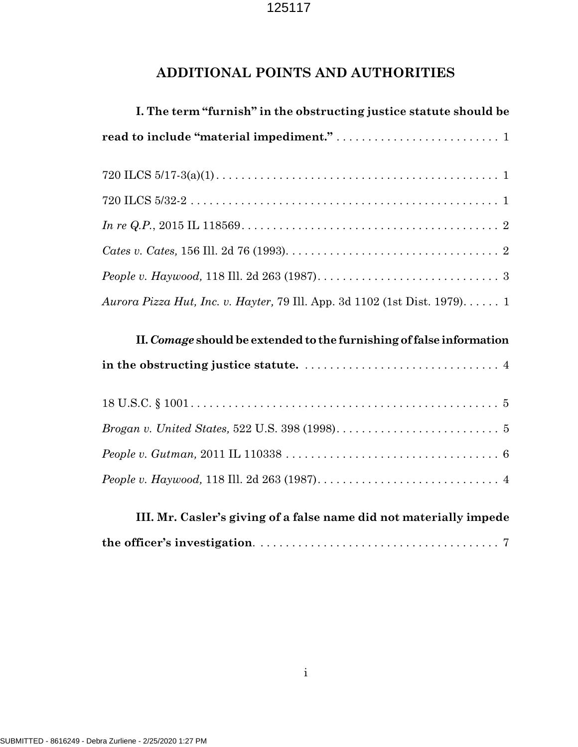# **ADDITIONAL POINTS AND AUTHORITIES**

| I. The term "furnish" in the obstructing justice statute should be                                                           |  |
|------------------------------------------------------------------------------------------------------------------------------|--|
|                                                                                                                              |  |
|                                                                                                                              |  |
|                                                                                                                              |  |
|                                                                                                                              |  |
| Cates v. Cates, 156 Ill. 2d 76 (1993). $\ldots \ldots \ldots \ldots \ldots \ldots \ldots \ldots \ldots \ldots \ldots \ldots$ |  |
|                                                                                                                              |  |
| Aurora Pizza Hut, Inc. v. Hayter, 79 Ill. App. 3d 1102 (1st Dist. 1979) 1                                                    |  |
| II. Comage should be extended to the furnishing of false information                                                         |  |
|                                                                                                                              |  |
|                                                                                                                              |  |
|                                                                                                                              |  |
|                                                                                                                              |  |
|                                                                                                                              |  |
|                                                                                                                              |  |
| III. Mr. Casler's giving of a false name did not materially impede                                                           |  |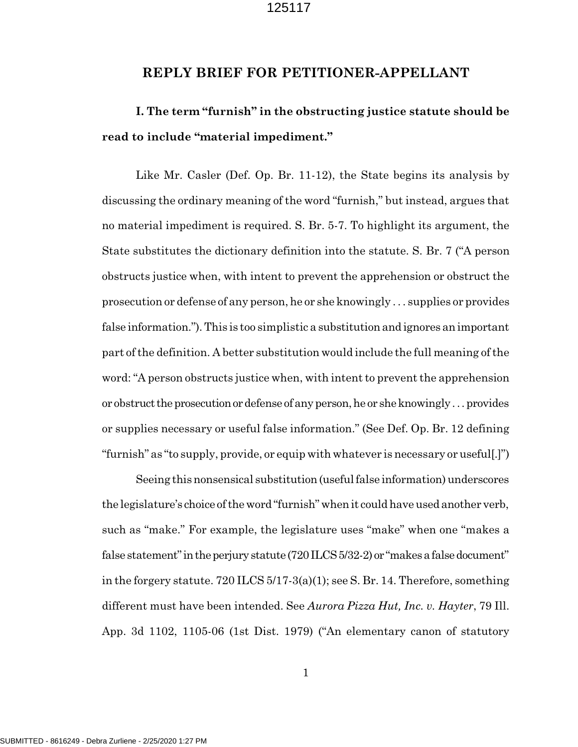#### **REPLY BRIEF FOR PETITIONER-APPELLANT**

# **I. The term "furnish" in the obstructing justice statute should be read to include "material impediment."**

Like Mr. Casler (Def. Op. Br. 11-12), the State begins its analysis by discussing the ordinary meaning of the word "furnish," but instead, argues that no material impediment is required. S. Br. 5-7. To highlight its argument, the State substitutes the dictionary definition into the statute. S. Br. 7 ("A person obstructs justice when, with intent to prevent the apprehension or obstruct the prosecution or defense of any person, he or she knowingly . . . supplies or provides false information."). This is too simplistic a substitution and ignores an important part of the definition. A better substitution would include the full meaning of the word: "A person obstructs justice when, with intent to prevent the apprehension or obstruct the prosecution or defense of any person, he or she knowingly . . . provides or supplies necessary or useful false information." (See Def. Op. Br. 12 defining "furnish" as "to supply, provide, or equip with whatever is necessary or useful[.]")

Seeing this nonsensical substitution (useful false information) underscores the legislature's choice of the word "furnish" when it could have used another verb, such as "make." For example, the legislature uses "make" when one "makes a false statement" in the perjury statute (720 ILCS 5/32-2) or "makes a false document" in the forgery statute. 720 ILCS 5/17-3(a)(1); see S. Br. 14. Therefore, something different must have been intended. See *Aurora Pizza Hut, Inc. v. Hayter*, 79 Ill. App. 3d 1102, 1105-06 (1st Dist. 1979) ("An elementary canon of statutory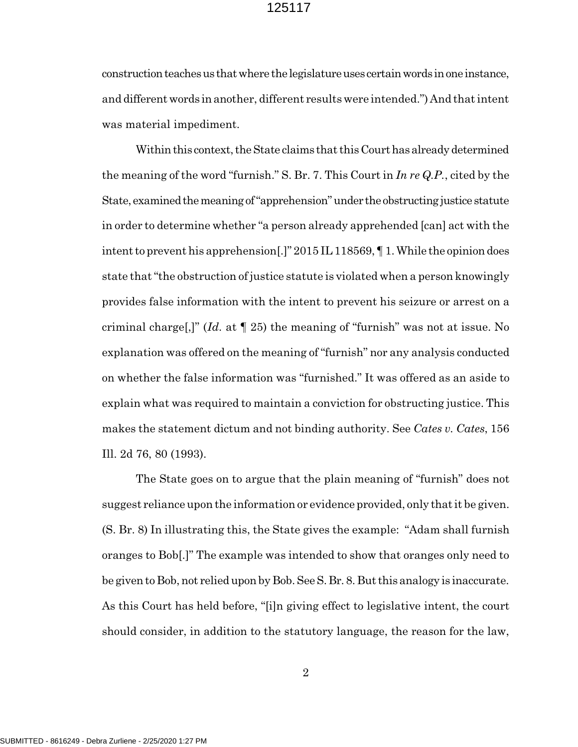construction teaches us that where the legislature uses certain words in one instance, and different words in another, different results were intended.") And that intent was material impediment.

Within this context, the State claims that this Court has already determined the meaning of the word "furnish." S. Br. 7. This Court in *In re Q.P.*, cited by the State, examined the meaning of "apprehension" under the obstructing justice statute in order to determine whether "a person already apprehended [can] act with the intent to prevent his apprehension[.]" 2015 IL 118569, ¶ 1. While the opinion does state that "the obstruction of justice statute is violated when a person knowingly provides false information with the intent to prevent his seizure or arrest on a criminal charge[,]" (*Id.* at ¶ 25) the meaning of "furnish" was not at issue. No explanation was offered on the meaning of "furnish" nor any analysis conducted on whether the false information was "furnished." It was offered as an aside to explain what was required to maintain a conviction for obstructing justice. This makes the statement dictum and not binding authority. See *Cates v. Cates*, 156 Ill. 2d 76, 80 (1993).

The State goes on to argue that the plain meaning of "furnish" does not suggest reliance upon the information or evidence provided, only that it be given. (S. Br. 8) In illustrating this, the State gives the example: "Adam shall furnish oranges to Bob[.]" The example was intended to show that oranges only need to be given to Bob, not relied upon by Bob. See S. Br. 8. But this analogy is inaccurate. As this Court has held before, "[i]n giving effect to legislative intent, the court should consider, in addition to the statutory language, the reason for the law,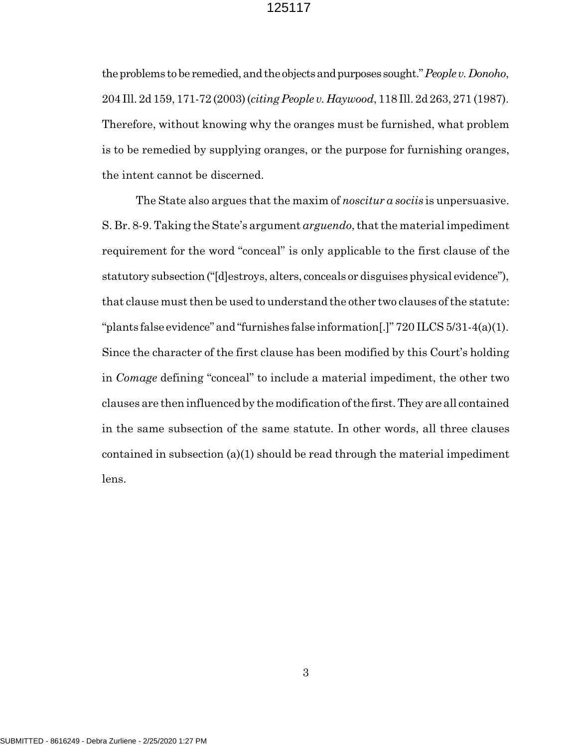the problems to be remedied, and the objects and purposes sought." *People v. Donoho*, 204 Ill. 2d 159, 171-72 (2003) (*citingPeople v. Haywood*, 118 Ill. 2d 263, 271 (1987). Therefore, without knowing why the oranges must be furnished, what problem is to be remedied by supplying oranges, or the purpose for furnishing oranges, the intent cannot be discerned.

The State also argues that the maxim of *noscitur a sociis* is unpersuasive. S. Br. 8-9. Taking the State's argument *arguendo*, that the material impediment requirement for the word "conceal" is only applicable to the first clause of the statutory subsection ("[d]estroys, alters, conceals or disguises physical evidence"), that clause must then be used to understand the other two clauses of the statute: "plants false evidence" and "furnishes false information[.]" 720 ILCS 5/31-4(a)(1). Since the character of the first clause has been modified by this Court's holding in *Comage* defining "conceal" to include a material impediment, the other two clauses are then influenced by the modification of the first. They are all contained in the same subsection of the same statute. In other words, all three clauses contained in subsection (a)(1) should be read through the material impediment lens.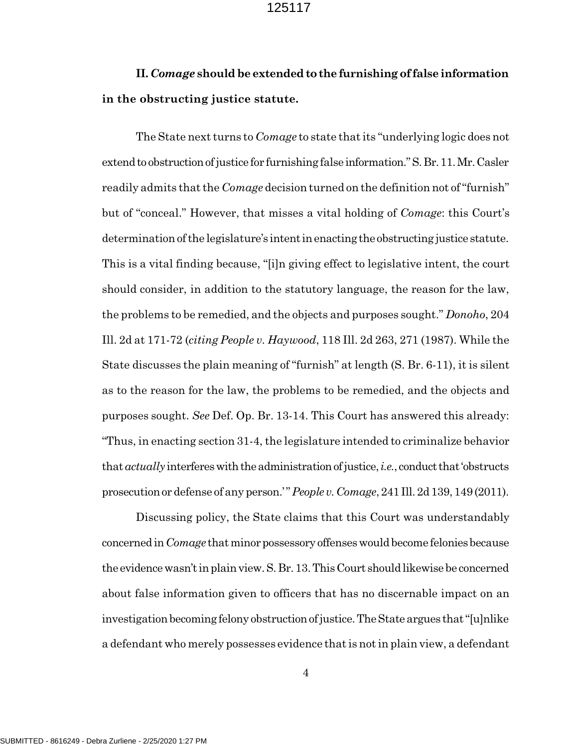# **II.** *Comage* **should be extended to the furnishing of false information in the obstructing justice statute.**

The State next turns to *Comage* to state that its "underlying logic does not extend to obstruction of justice for furnishing false information." S. Br. 11. Mr. Casler readily admits that the *Comage* decision turned on the definition not of "furnish" but of "conceal." However, that misses a vital holding of *Comage*: this Court's determination of the legislature's intent in enacting the obstructing justice statute. This is a vital finding because, "[i]n giving effect to legislative intent, the court should consider, in addition to the statutory language, the reason for the law, the problems to be remedied, and the objects and purposes sought." *Donoho*, 204 Ill. 2d at 171-72 (*citing People v. Haywood*, 118 Ill. 2d 263, 271 (1987). While the State discusses the plain meaning of "furnish" at length (S. Br. 6-11), it is silent as to the reason for the law, the problems to be remedied, and the objects and purposes sought. *See* Def. Op. Br. 13-14. This Court has answered this already: "Thus, in enacting section 31-4, the legislature intended to criminalize behavior that *actually* interferes with the administration of justice, *i.e.*, conduct that 'obstructs prosecution or defense of any person.' " *People v. Comage*, 241 Ill. 2d 139, 149 (2011).

Discussing policy, the State claims that this Court was understandably concerned in *Comage* that minor possessory offenses would become felonies because the evidence wasn't in plain view. S. Br. 13. This Court should likewise be concerned about false information given to officers that has no discernable impact on an investigation becoming felony obstruction of justice. The State argues that "[u]nlike a defendant who merely possesses evidence that is not in plain view, a defendant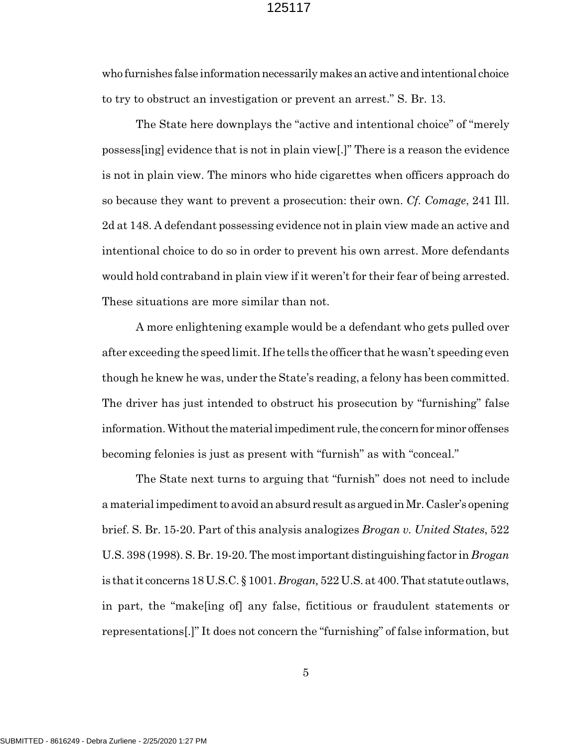who furnishes false information necessarily makes an active and intentional choice to try to obstruct an investigation or prevent an arrest." S. Br. 13.

The State here downplays the "active and intentional choice" of "merely possess[ing] evidence that is not in plain view[.]" There is a reason the evidence is not in plain view. The minors who hide cigarettes when officers approach do so because they want to prevent a prosecution: their own. *Cf. Comage*, 241 Ill. 2d at 148. A defendant possessing evidence not in plain view made an active and intentional choice to do so in order to prevent his own arrest. More defendants would hold contraband in plain view if it weren't for their fear of being arrested. These situations are more similar than not.

A more enlightening example would be a defendant who gets pulled over after exceeding the speed limit. If he tells the officer that he wasn't speeding even though he knew he was, under the State's reading, a felony has been committed. The driver has just intended to obstruct his prosecution by "furnishing" false information. Without the material impediment rule, the concern for minor offenses becoming felonies is just as present with "furnish" as with "conceal."

The State next turns to arguing that "furnish" does not need to include a material impediment to avoid an absurd result as argued in Mr. Casler's opening brief. S. Br. 15-20. Part of this analysis analogizes *Brogan v. United States*, 522 U.S. 398 (1998). S. Br. 19-20. The most important distinguishing factor in *Brogan* is that it concerns 18 U.S.C. § 1001. *Brogan,* 522 U.S. at 400. That statute outlaws, in part, the "make[ing of] any false, fictitious or fraudulent statements or representations[.]" It does not concern the "furnishing" of false information, but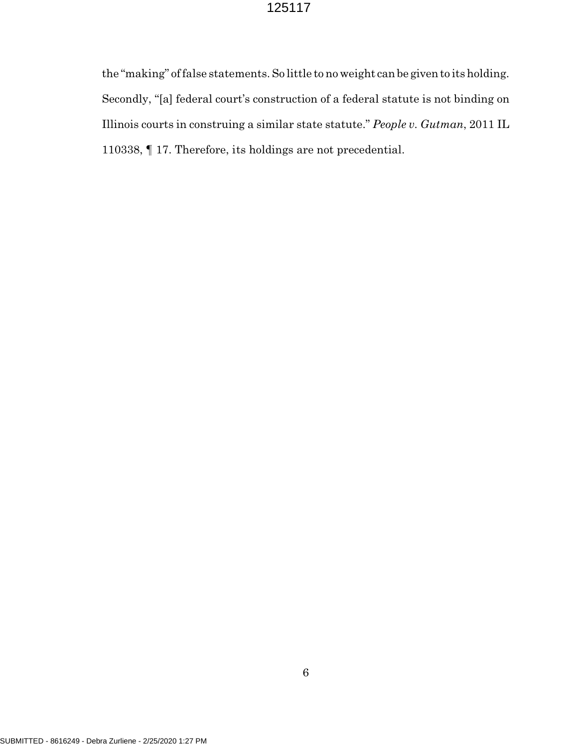the "making" of false statements. So little to no weight can be given to its holding. Secondly, "[a] federal court's construction of a federal statute is not binding on Illinois courts in construing a similar state statute." *People v. Gutman*, 2011 IL 110338, ¶ 17. Therefore, its holdings are not precedential.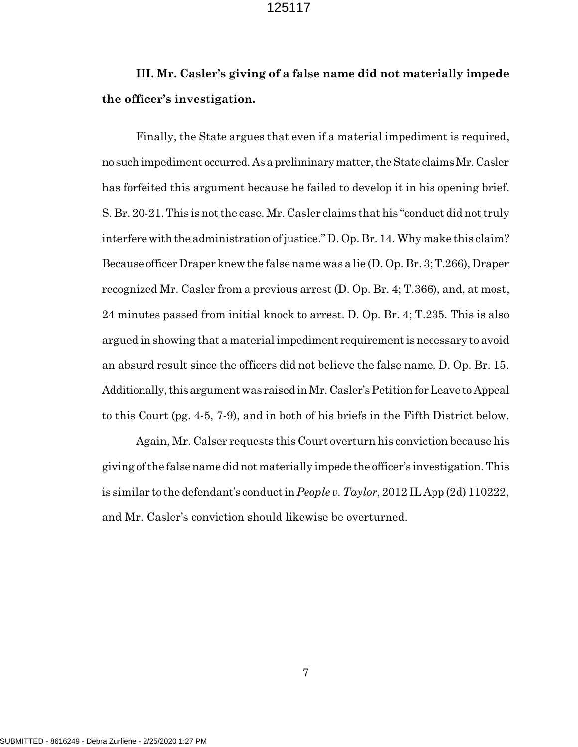# **III. Mr. Casler's giving of a false name did not materially impede the officer's investigation.**

Finally, the State argues that even if a material impediment is required, no such impediment occurred. As a preliminary matter, the State claims Mr. Casler has forfeited this argument because he failed to develop it in his opening brief. S. Br. 20-21. This is not the case. Mr. Casler claims that his "conduct did not truly interfere with the administration of justice." D. Op. Br. 14. Why make this claim? Because officer Draper knew the false name was a lie (D. Op. Br. 3; T.266), Draper recognized Mr. Casler from a previous arrest (D. Op. Br. 4; T.366), and, at most, 24 minutes passed from initial knock to arrest. D. Op. Br. 4; T.235. This is also argued in showing that a material impediment requirement is necessary to avoid an absurd result since the officers did not believe the false name. D. Op. Br. 15. Additionally, this argument was raised in Mr. Casler's Petition for Leave to Appeal to this Court (pg. 4-5, 7-9), and in both of his briefs in the Fifth District below.

Again, Mr. Calser requests this Court overturn his conviction because his giving of the false name did not materially impede the officer's investigation. This is similar to the defendant's conduct in *People v. Taylor*, 2012 IL App (2d) 110222, and Mr. Casler's conviction should likewise be overturned.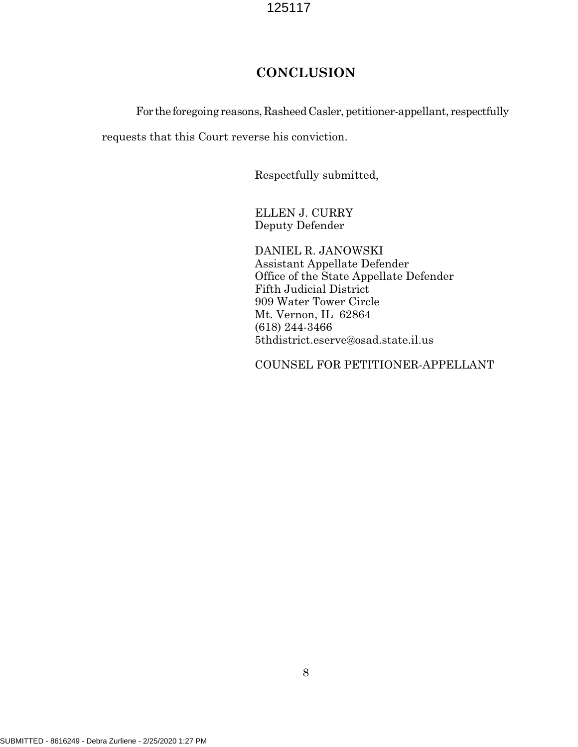## **CONCLUSION**

For the foregoing reasons, Rasheed Casler, petitioner-appellant, respectfully

requests that this Court reverse his conviction.

Respectfully submitted,

ELLEN J. CURRY Deputy Defender

DANIEL R. JANOWSKI Assistant Appellate Defender Office of the State Appellate Defender Fifth Judicial District 909 Water Tower Circle Mt. Vernon, IL 62864 (618) 244-3466 5thdistrict.eserve@osad.state.il.us

COUNSEL FOR PETITIONER-APPELLANT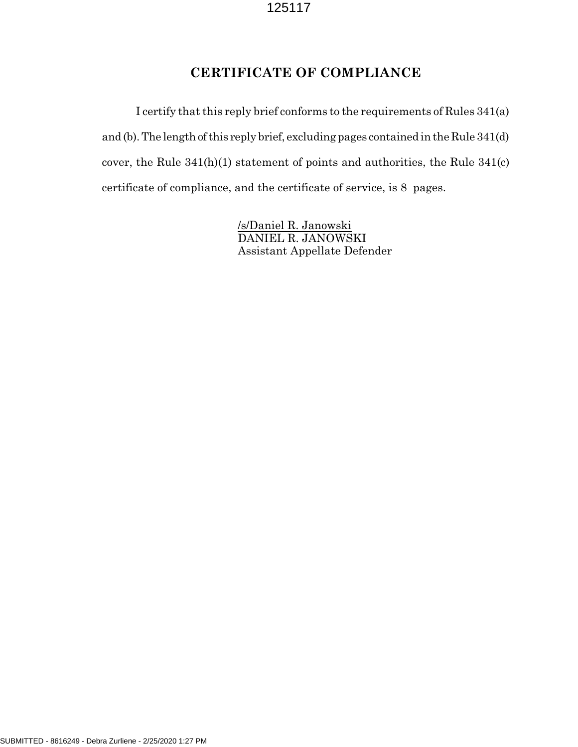## **CERTIFICATE OF COMPLIANCE**

I certify that this reply brief conforms to the requirements of Rules 341(a) and (b). The length of this reply brief, excluding pages contained in the Rule 341(d) cover, the Rule 341(h)(1) statement of points and authorities, the Rule 341(c) certificate of compliance, and the certificate of service, is 8 pages.

> /s/Daniel R. Janowski DANIEL R. JANOWSKI Assistant Appellate Defender